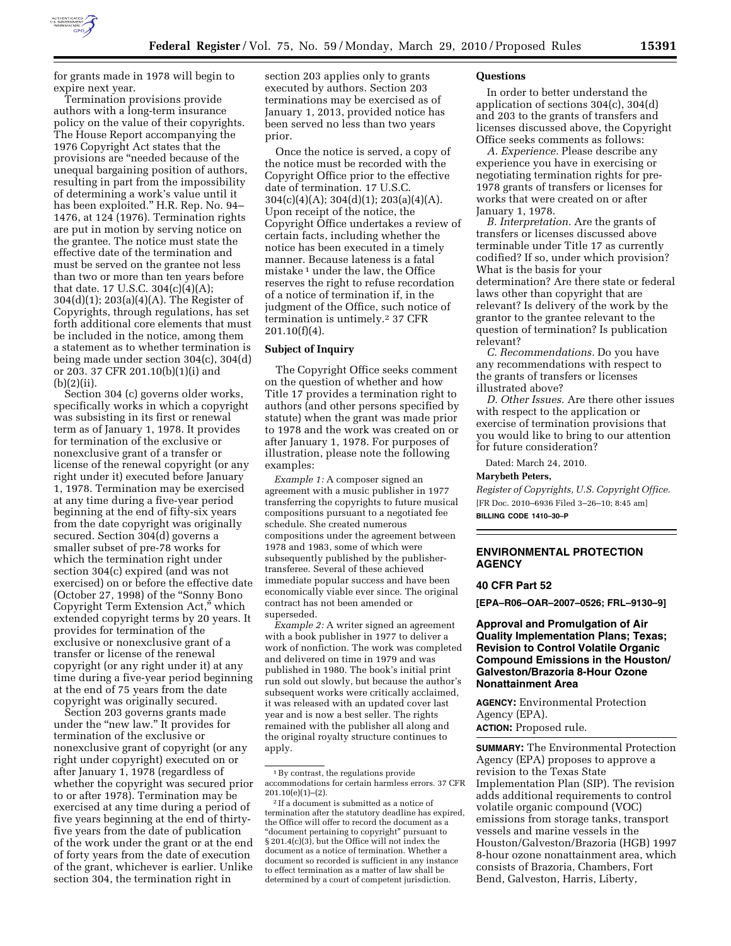

for grants made in 1978 will begin to expire next year.

Termination provisions provide authors with a long-term insurance policy on the value of their copyrights. The House Report accompanying the 1976 Copyright Act states that the provisions are ''needed because of the unequal bargaining position of authors, resulting in part from the impossibility of determining a work's value until it has been exploited.'' H.R. Rep. No. 94– 1476, at 124 (1976). Termination rights are put in motion by serving notice on the grantee. The notice must state the effective date of the termination and must be served on the grantee not less than two or more than ten years before that date. 17 U.S.C. 304(c)(4)(A); 304(d)(1); 203(a)(4)(A). The Register of Copyrights, through regulations, has set forth additional core elements that must be included in the notice, among them a statement as to whether termination is being made under section 304(c), 304(d) or 203. 37 CFR 201.10(b)(1)(i) and  $(b)(2)(ii)$ .

Section 304 (c) governs older works, specifically works in which a copyright was subsisting in its first or renewal term as of January 1, 1978. It provides for termination of the exclusive or nonexclusive grant of a transfer or license of the renewal copyright (or any right under it) executed before January 1, 1978. Termination may be exercised at any time during a five-year period beginning at the end of fifty-six years from the date copyright was originally secured. Section 304(d) governs a smaller subset of pre-78 works for which the termination right under section 304(c) expired (and was not exercised) on or before the effective date (October 27, 1998) of the ''Sonny Bono Copyright Term Extension Act,'' which extended copyright terms by 20 years. It provides for termination of the exclusive or nonexclusive grant of a transfer or license of the renewal copyright (or any right under it) at any time during a five-year period beginning at the end of 75 years from the date copyright was originally secured.

Section 203 governs grants made under the "new law." It provides for termination of the exclusive or nonexclusive grant of copyright (or any right under copyright) executed on or after January 1, 1978 (regardless of whether the copyright was secured prior to or after 1978). Termination may be exercised at any time during a period of five years beginning at the end of thirtyfive years from the date of publication of the work under the grant or at the end of forty years from the date of execution of the grant, whichever is earlier. Unlike section 304, the termination right in

section 203 applies only to grants executed by authors. Section 203 terminations may be exercised as of January 1, 2013, provided notice has been served no less than two years prior.

Once the notice is served, a copy of the notice must be recorded with the Copyright Office prior to the effective date of termination. 17 U.S.C.  $304(c)(4)(A); 304(d)(1); 203(a)(4)(A).$ Upon receipt of the notice, the Copyright Office undertakes a review of certain facts, including whether the notice has been executed in a timely manner. Because lateness is a fatal mistake 1 under the law, the Office reserves the right to refuse recordation of a notice of termination if, in the judgment of the Office, such notice of termination is untimely.<sup>2</sup> 37 CFR  $201.10(f)(4)$ .

### **Subject of Inquiry**

The Copyright Office seeks comment on the question of whether and how Title 17 provides a termination right to authors (and other persons specified by statute) when the grant was made prior to 1978 and the work was created on or after January 1, 1978. For purposes of illustration, please note the following examples:

*Example 1:* A composer signed an agreement with a music publisher in 1977 transferring the copyrights to future musical compositions pursuant to a negotiated fee schedule. She created numerous compositions under the agreement between 1978 and 1983, some of which were subsequently published by the publishertransferee. Several of these achieved immediate popular success and have been economically viable ever since. The original contract has not been amended or superseded.

*Example 2:* A writer signed an agreement with a book publisher in 1977 to deliver a work of nonfiction. The work was completed and delivered on time in 1979 and was published in 1980. The book's initial print run sold out slowly, but because the author's subsequent works were critically acclaimed, it was released with an updated cover last year and is now a best seller. The rights remained with the publisher all along and the original royalty structure continues to apply.

#### **Questions**

In order to better understand the application of sections 304(c), 304(d) and 203 to the grants of transfers and licenses discussed above, the Copyright Office seeks comments as follows:

*A. Experience.* Please describe any experience you have in exercising or negotiating termination rights for pre-1978 grants of transfers or licenses for works that were created on or after January 1, 1978.

*B. Interpretation.* Are the grants of transfers or licenses discussed above terminable under Title 17 as currently codified? If so, under which provision? What is the basis for your determination? Are there state or federal laws other than copyright that are relevant? Is delivery of the work by the grantor to the grantee relevant to the question of termination? Is publication relevant?

*C. Recommendations.* Do you have any recommendations with respect to the grants of transfers or licenses illustrated above?

*D. Other Issues.* Are there other issues with respect to the application or exercise of termination provisions that you would like to bring to our attention for future consideration?

Dated: March 24, 2010.

#### **Marybeth Peters,**

*Register of Copyrights, U.S. Copyright Office.*  [FR Doc. 2010–6936 Filed 3–26–10; 8:45 am] **BILLING CODE 1410–30–P** 

### **ENVIRONMENTAL PROTECTION AGENCY**

### **40 CFR Part 52**

**[EPA–R06–OAR–2007–0526; FRL–9130–9]** 

**Approval and Promulgation of Air Quality Implementation Plans; Texas; Revision to Control Volatile Organic Compound Emissions in the Houston/ Galveston/Brazoria 8-Hour Ozone Nonattainment Area** 

**AGENCY:** Environmental Protection Agency (EPA).

**ACTION:** Proposed rule.

**SUMMARY:** The Environmental Protection Agency (EPA) proposes to approve a revision to the Texas State Implementation Plan (SIP). The revision adds additional requirements to control volatile organic compound (VOC) emissions from storage tanks, transport vessels and marine vessels in the Houston/Galveston/Brazoria (HGB) 1997 8-hour ozone nonattainment area, which consists of Brazoria, Chambers, Fort Bend, Galveston, Harris, Liberty,

 $^{\rm 1}\, \mathrm{By}$  contrast, the regulations provide accommodations for certain harmless errors. 37 CFR 201.10(e)(1)–(2).

<sup>2</sup> If a document is submitted as a notice of termination after the statutory deadline has expired, the Office will offer to record the document as a ''document pertaining to copyright'' pursuant to § 201.4(c)(3), but the Office will not index the document as a notice of termination. Whether a document so recorded is sufficient in any instance to effect termination as a matter of law shall be determined by a court of competent jurisdiction.